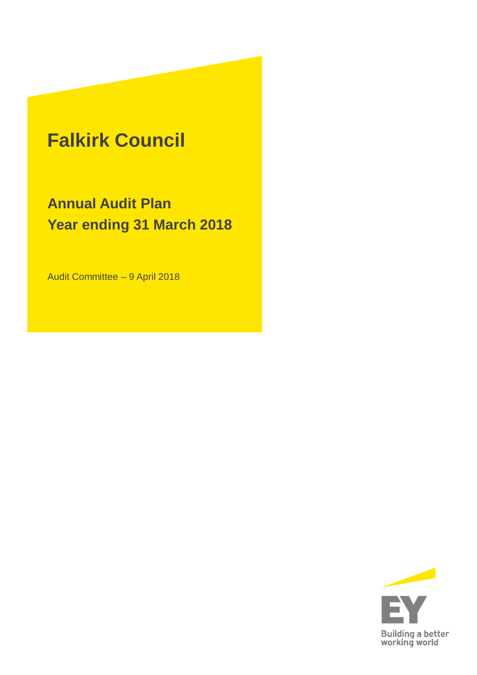### **Falkirk Council**

**Annual Audit Plan Year ending 31 March 2018**

Audit Committee – 9 April 2018

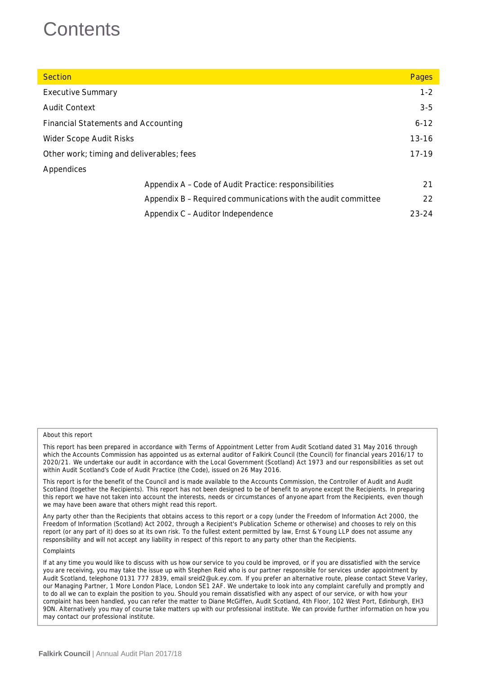### **Contents**

| <b>Section</b>                                                | Pages     |
|---------------------------------------------------------------|-----------|
| <b>Executive Summary</b>                                      | $1 - 2$   |
| <b>Audit Context</b>                                          | $3-5$     |
| <b>Financial Statements and Accounting</b>                    | $6 - 12$  |
| Wider Scope Audit Risks                                       | $13 - 16$ |
| Other work; timing and deliverables; fees                     | 17-19     |
| Appendices                                                    |           |
| Appendix A - Code of Audit Practice: responsibilities         | 21        |
| Appendix B - Required communications with the audit committee | 22        |
| Appendix C – Auditor Independence                             | $23 - 24$ |

#### About this report

This report has been prepared in accordance with Terms of Appointment Letter from Audit Scotland dated 31 May 2016 through which the Accounts Commission has appointed us as external auditor of Falkirk Council (the Council) for financial years 2016/17 to 2020/21. We undertake our audit in accordance with the Local Government (Scotland) Act 1973 and our responsibilities as set out within Audit Scotland's Code of Audit Practice (the Code), issued on 26 May 2016.

This report is for the benefit of the Council and is made available to the Accounts Commission, the Controller of Audit and Audit Scotland (together the Recipients). This report has not been designed to be of benefit to anyone except the Recipients. In preparing this report we have not taken into account the interests, needs or circumstances of anyone apart from the Recipients, even though we may have been aware that others might read this report.

Any party other than the Recipients that obtains access to this report or a copy (under the Freedom of Information Act 2000, the Freedom of Information (Scotland) Act 2002, through a Recipient's Publication Scheme or otherwise) and chooses to rely on this report (or any part of it) does so at its own risk. To the fullest extent permitted by law, Ernst & Young LLP does not assume any responsibility and will not accept any liability in respect of this report to any party other than the Recipients.

**Complaints** 

If at any time you would like to discuss with us how our service to you could be improved, or if you are dissatisfied with the service you are receiving, you may take the issue up with Stephen Reid who is our partner responsible for services under appointment by Audit Scotland, telephone 0131 777 2839, email sreid2@uk.ey.com. If you prefer an alternative route, please contact Steve Varley, our Managing Partner, 1 More London Place, London SE1 2AF. We undertake to look into any complaint carefully and promptly and to do all we can to explain the position to you. Should you remain dissatisfied with any aspect of our service, or with how your complaint has been handled, you can refer the matter to Diane McGiffen, Audit Scotland, 4th Floor, 102 West Port, Edinburgh, EH3 9DN. Alternatively you may of course take matters up with our professional institute. We can provide further information on how you may contact our professional institute.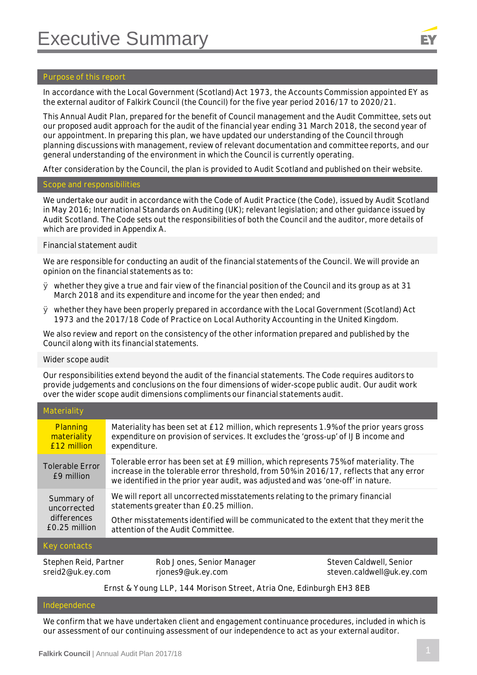#### **Purpose of this report**

In accordance with the Local Government (Scotland) Act 1973, the Accounts Commission appointed EY as the external auditor of Falkirk Council (the Council) for the five year period 2016/17 to 2020/21.

This Annual Audit Plan, prepared for the benefit of Council management and the Audit Committee, sets out our proposed audit approach for the audit of the financial year ending 31 March 2018, the second year of our appointment. In preparing this plan, we have updated our understanding of the Council through planning discussions with management, review of relevant documentation and committee reports, and our general understanding of the environment in which the Council is currently operating.

After consideration by the Council, the plan is provided to Audit Scotland and published on their website.

#### **Scope and responsibilities**

We undertake our audit in accordance with the Code of Audit Practice (the Code), issued by Audit Scotland in May 2016; International Standards on Auditing (UK); relevant legislation; and other guidance issued by Audit Scotland. The Code sets out the responsibilities of both the Council and the auditor, more details of which are provided in Appendix A.

#### *Financial statement audit*

We are responsible for conducting an audit of the financial statements of the Council. We will provide an opinion on the financial statements as to:

- $\varnothing$  whether they give a true and fair view of the financial position of the Council and its group as at 31 March 2018 and its expenditure and income for the year then ended; and
- Ø whether they have been properly prepared in accordance with the Local Government (Scotland) Act 1973 and the 2017/18 Code of Practice on Local Authority Accounting in the United Kingdom.

We also review and report on the consistency of the other information prepared and published by the Council along with its financial statements.

#### *Wider scope audit*

Our responsibilities extend beyond the audit of the financial statements. The Code requires auditors to provide judgements and conclusions on the four dimensions of wider-scope public audit. Our audit work over the wider scope audit dimensions compliments our financial statements audit.

| Materiality                              |                                                                                                                                                                                                                                                                     |
|------------------------------------------|---------------------------------------------------------------------------------------------------------------------------------------------------------------------------------------------------------------------------------------------------------------------|
| Planning<br>materiality<br>£12 million   | Materiality has been set at £12 million, which represents 1.9% of the prior years gross<br>expenditure on provision of services. It excludes the 'gross-up' of IJB income and<br>expenditure.                                                                       |
| <b>Tolerable Error</b><br>f9 million     | Tolerable error has been set at £9 million, which represents 75% of materiality. The<br>increase in the tolerable error threshold, from 50% in 2016/17, reflects that any error<br>we identified in the prior year audit, was adjusted and was 'one-off' in nature. |
| Summary of<br>uncorrected<br>differences | We will report all uncorrected misstatements relating to the primary financial<br>statements greater than £0.25 million.<br>Other misstatements identified will be communicated to the extent that they merit the                                                   |
| £0.25 million                            | attention of the Audit Committee.                                                                                                                                                                                                                                   |

#### **Contacts**

Stephen Reid, Partner sreid2@uk.ey.com

Rob Jones, Senior Manager rjones9@uk.ey.com

Steven Caldwell, Senior steven.caldwell@uk.ey.com

#### **Ernst & Young LLP, 144 Morison Street, Atria One, Edinburgh EH3 8EB**

#### **Independence**

We confirm that we have undertaken client and engagement continuance procedures, included in which is our assessment of our continuing assessment of our independence to act as your external auditor.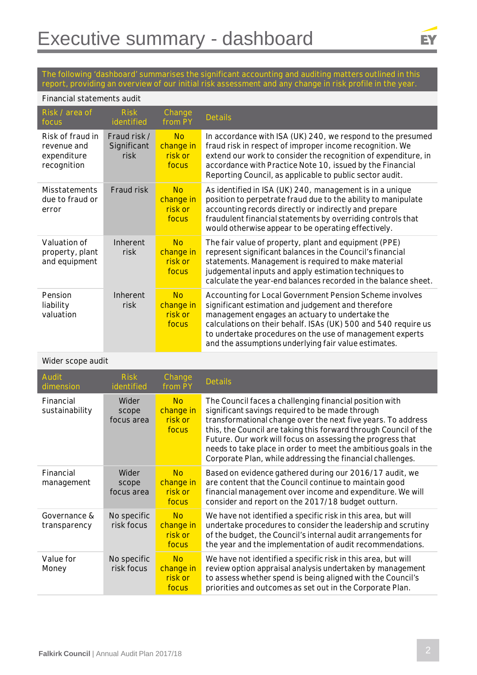### EY

**The following 'dashboard' summarises the significant accounting and auditing matters outlined in this report, providing an overview of our initial risk assessment and any change in risk profile in the year.**

#### **Financial statements audit**

| Risk / area of<br>focus                                       | <b>Risk</b><br>identified           | Change<br>from PY                          | <b>Details</b>                                                                                                                                                                                                                                                                                                                                        |  |
|---------------------------------------------------------------|-------------------------------------|--------------------------------------------|-------------------------------------------------------------------------------------------------------------------------------------------------------------------------------------------------------------------------------------------------------------------------------------------------------------------------------------------------------|--|
| Risk of fraud in<br>revenue and<br>expenditure<br>recognition | Fraud risk /<br>Significant<br>risk | <b>No</b><br>change in<br>risk or<br>focus | In accordance with ISA (UK) 240, we respond to the presumed<br>fraud risk in respect of improper income recognition. We<br>extend our work to consider the recognition of expenditure, in<br>accordance with Practice Note 10, issued by the Financial<br>Reporting Council, as applicable to public sector audit.                                    |  |
| <b>Misstatements</b><br>due to fraud or<br>error              | Fraud risk                          | <b>No</b><br>change in<br>risk or<br>focus | As identified in ISA (UK) 240, management is in a unique<br>position to perpetrate fraud due to the ability to manipulate<br>accounting records directly or indirectly and prepare<br>fraudulent financial statements by overriding controls that<br>would otherwise appear to be operating effectively.                                              |  |
| Valuation of<br>property, plant<br>and equipment              | Inherent<br>risk                    | <b>No</b><br>change in<br>risk or<br>focus | The fair value of property, plant and equipment (PPE)<br>represent significant balances in the Council's financial<br>statements. Management is required to make material<br>judgemental inputs and apply estimation techniques to<br>calculate the year-end balances recorded in the balance sheet.                                                  |  |
| Pension<br>liability<br>valuation                             | Inherent<br>risk                    | <b>No</b><br>change in<br>risk or<br>focus | Accounting for Local Government Pension Scheme involves<br>significant estimation and judgement and therefore<br>management engages an actuary to undertake the<br>calculations on their behalf. ISAs (UK) 500 and 540 require us<br>to undertake procedures on the use of management experts<br>and the assumptions underlying fair value estimates. |  |

#### **Wider scope audit**

| <b>Audit</b><br>dimension    | <b>Risk</b><br>identified    | Change<br>from PY                          | <b>Details</b>                                                                                                                                                                                                                                                                                                                                                                                                                                |
|------------------------------|------------------------------|--------------------------------------------|-----------------------------------------------------------------------------------------------------------------------------------------------------------------------------------------------------------------------------------------------------------------------------------------------------------------------------------------------------------------------------------------------------------------------------------------------|
| Financial<br>sustainability  | Wider<br>scope<br>focus area | <b>No</b><br>change in<br>risk or<br>focus | The Council faces a challenging financial position with<br>significant savings required to be made through<br>transformational change over the next five years. To address<br>this, the Council are taking this forward through Council of the<br>Future. Our work will focus on assessing the progress that<br>needs to take place in order to meet the ambitious goals in the<br>Corporate Plan, while addressing the financial challenges. |
| Financial<br>management      | Wider<br>scope<br>focus area | <b>No</b><br>change in<br>risk or<br>focus | Based on evidence gathered during our 2016/17 audit, we<br>are content that the Council continue to maintain good<br>financial management over income and expenditure. We will<br>consider and report on the 2017/18 budget outturn.                                                                                                                                                                                                          |
| Governance &<br>transparency | No specific<br>risk focus    | <b>No</b><br>change in<br>risk or<br>focus | We have not identified a specific risk in this area, but will<br>undertake procedures to consider the leadership and scrutiny<br>of the budget, the Council's internal audit arrangements for<br>the year and the implementation of audit recommendations.                                                                                                                                                                                    |
| Value for<br>Money           | No specific<br>risk focus    | <b>No</b><br>change in<br>risk or<br>focus | We have not identified a specific risk in this area, but will<br>review option appraisal analysis undertaken by management<br>to assess whether spend is being aligned with the Council's<br>priorities and outcomes as set out in the Corporate Plan.                                                                                                                                                                                        |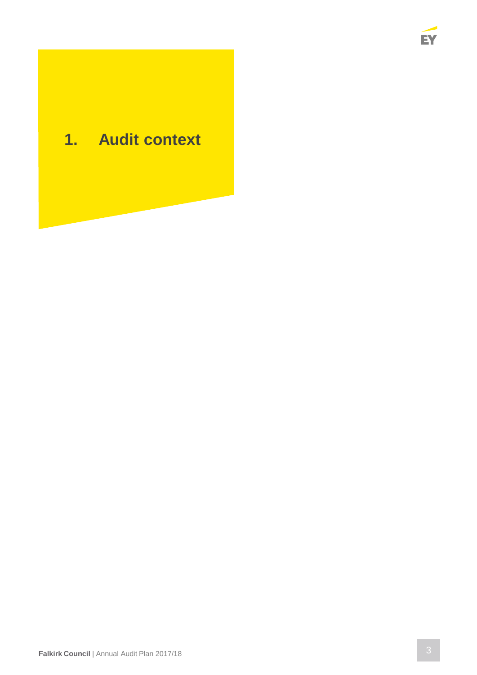

### **1. Audit context**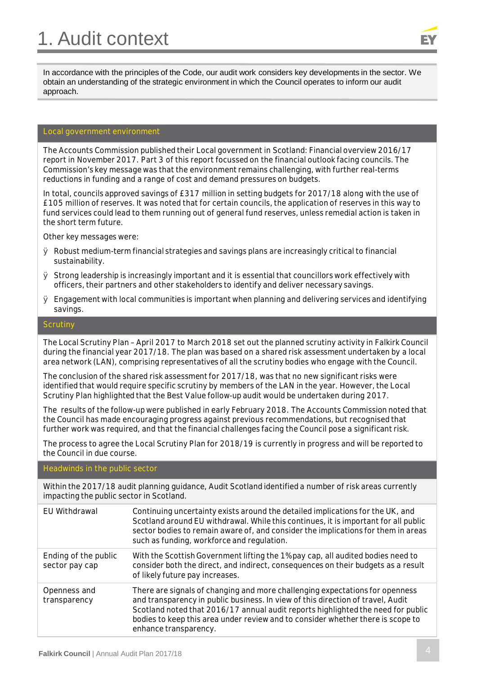

In accordance with the principles of the Code, our audit work considers key developments in the sector. We obtain an understanding of the strategic environment in which the Council operates to inform our audit approach.

#### **Local government environment**

The Accounts Commission published their Local government in Scotland: Financial overview 2016/17 report in November 2017. Part 3 of this report focussed on the financial outlook facing councils. The Commission's key message was that the environment remains challenging, with further real-terms reductions in funding and a range of cost and demand pressures on budgets.

In total, councils approved savings of £317 million in setting budgets for 2017/18 along with the use of £105 million of reserves. It was noted that for certain councils, the application of reserves in this way to fund services could lead to them running out of general fund reserves, unless remedial action is taken in the short term future.

Other key messages were:

- $\varnothing$  Robust medium-term financial strategies and savings plans are increasingly critical to financial sustainability.
- Ø Strong leadership is increasingly important and it is essential that councillors work effectively with officers, their partners and other stakeholders to identify and deliver necessary savings.
- $\varnothing$  Engagement with local communities is important when planning and delivering services and identifying savings.

#### **Scrutiny**

The Local Scrutiny Plan – April 2017 to March 2018 set out the planned scrutiny activity in Falkirk Council during the financial year 2017/18. The plan was based on a shared risk assessment undertaken by a local area network (LAN), comprising representatives of all the scrutiny bodies who engage with the Council.

The conclusion of the shared risk assessment for 2017/18, was that no new significant risks were identified that would require specific scrutiny by members of the LAN in the year. However, the Local Scrutiny Plan highlighted that the Best Value follow-up audit would be undertaken during 2017.

The results of the follow-up were published in early February 2018. The Accounts Commission noted that the Council has made encouraging progress against previous recommendations, but recognised that further work was required, and that the financial challenges facing the Council pose a significant risk.

The process to agree the Local Scrutiny Plan for 2018/19 is currently in progress and will be reported to the Council in due course.

#### **Headwinds in the public sector**

Within the 2017/18 audit planning guidance, Audit Scotland identified a number of risk areas currently impacting the public sector in Scotland.

| EU Withdrawal                          | Continuing uncertainty exists around the detailed implications for the UK, and<br>Scotland around EU withdrawal. While this continues, it is important for all public<br>sector bodies to remain aware of, and consider the implications for them in areas<br>such as funding, workforce and regulation.                                                        |
|----------------------------------------|-----------------------------------------------------------------------------------------------------------------------------------------------------------------------------------------------------------------------------------------------------------------------------------------------------------------------------------------------------------------|
| Ending of the public<br>sector pay cap | With the Scottish Government lifting the 1% pay cap, all audited bodies need to<br>consider both the direct, and indirect, consequences on their budgets as a result<br>of likely future pay increases.                                                                                                                                                         |
| Openness and<br>transparency           | There are signals of changing and more challenging expectations for openness<br>and transparency in public business. In view of this direction of travel, Audit<br>Scotland noted that 2016/17 annual audit reports highlighted the need for public<br>bodies to keep this area under review and to consider whether there is scope to<br>enhance transparency. |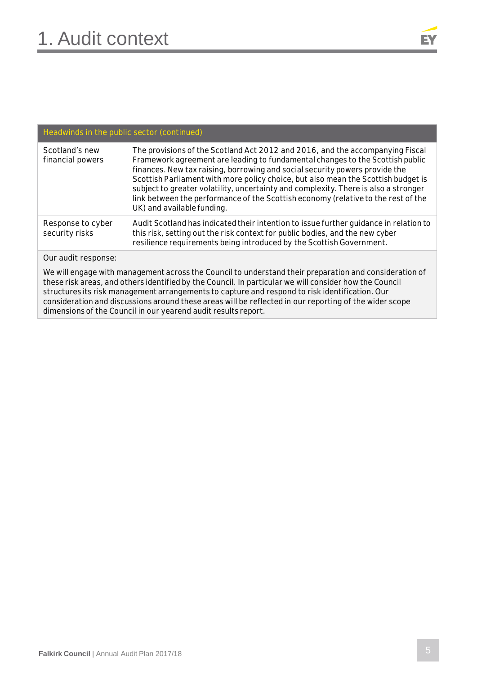## EY

### **Headwinds in the public sector (continued)**

| Scotland's new<br>financial powers  | The provisions of the Scotland Act 2012 and 2016, and the accompanying Fiscal<br>Framework agreement are leading to fundamental changes to the Scottish public<br>finances. New tax raising, borrowing and social security powers provide the<br>Scottish Parliament with more policy choice, but also mean the Scottish budget is<br>subject to greater volatility, uncertainty and complexity. There is also a stronger<br>link between the performance of the Scottish economy (relative to the rest of the<br>UK) and available funding. |
|-------------------------------------|----------------------------------------------------------------------------------------------------------------------------------------------------------------------------------------------------------------------------------------------------------------------------------------------------------------------------------------------------------------------------------------------------------------------------------------------------------------------------------------------------------------------------------------------|
| Response to cyber<br>security risks | Audit Scotland has indicated their intention to issue further guidance in relation to<br>this risk, setting out the risk context for public bodies, and the new cyber<br>resilience requirements being introduced by the Scottish Government.                                                                                                                                                                                                                                                                                                |
|                                     |                                                                                                                                                                                                                                                                                                                                                                                                                                                                                                                                              |

#### **Our audit response:**

We will engage with management across the Council to understand their preparation and consideration of these risk areas, and others identified by the Council. In particular we will consider how the Council structures its risk management arrangements to capture and respond to risk identification. Our consideration and discussions around these areas will be reflected in our reporting of the wider scope dimensions of the Council in our yearend audit results report.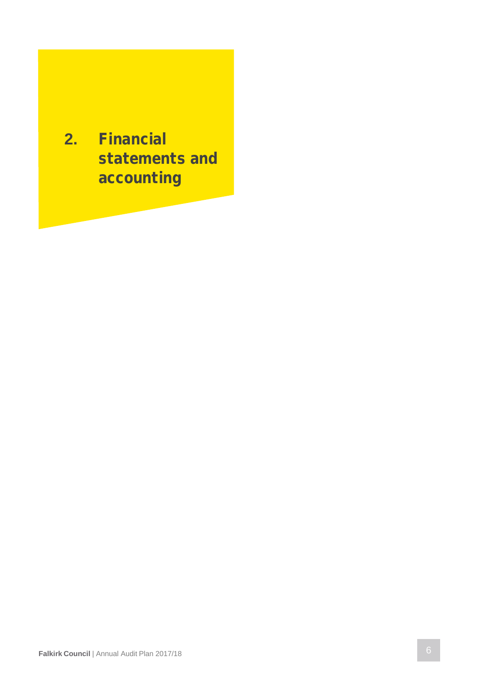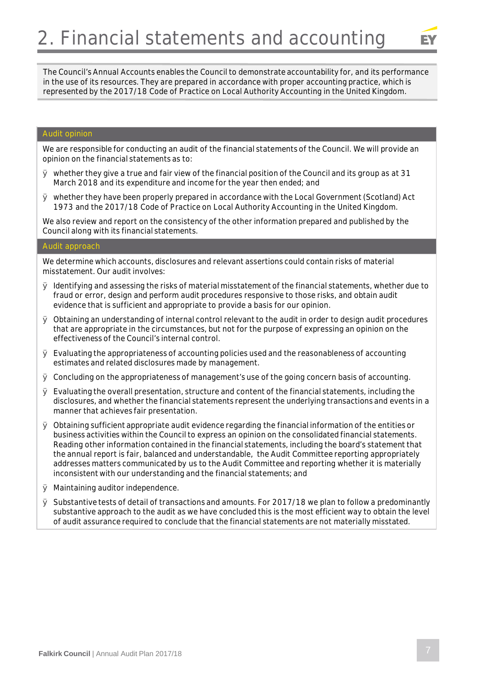

The Council's Annual Accounts enables the Council to demonstrate accountability for, and its performance in the use of its resources. They are prepared in accordance with proper accounting practice, which is represented by the 2017/18 Code of Practice on Local Authority Accounting in the United Kingdom.

#### **Audit opinion**

We are responsible for conducting an audit of the financial statements of the Council. We will provide an opinion on the financial statements as to:

- $\varnothing$  whether they give a true and fair view of the financial position of the Council and its group as at 31 March 2018 and its expenditure and income for the year then ended; and
- Ø whether they have been properly prepared in accordance with the Local Government (Scotland) Act 1973 and the 2017/18 Code of Practice on Local Authority Accounting in the United Kingdom.

We also review and report on the consistency of the other information prepared and published by the Council along with its financial statements.

#### **Audit approach**

We determine which accounts, disclosures and relevant assertions could contain risks of material misstatement. Our audit involves:

- $\varnothing$  Identifying and assessing the risks of material misstatement of the financial statements, whether due to fraud or error, design and perform audit procedures responsive to those risks, and obtain audit evidence that is sufficient and appropriate to provide a basis for our opinion.
- $\varnothing$  Obtaining an understanding of internal control relevant to the audit in order to design audit procedures that are appropriate in the circumstances, but not for the purpose of expressing an opinion on the effectiveness of the Council's internal control.
- $\varnothing$  Evaluating the appropriateness of accounting policies used and the reasonableness of accounting estimates and related disclosures made by management.
- $\varnothing$  Concluding on the appropriateness of management's use of the going concern basis of accounting.
- $\varnothing$  Evaluating the overall presentation, structure and content of the financial statements, including the disclosures, and whether the financial statements represent the underlying transactions and events in a manner that achieves fair presentation.
- $\varnothing$  Obtaining sufficient appropriate audit evidence regarding the financial information of the entities or business activities within the Council to express an opinion on the consolidated financial statements. Reading other information contained in the financial statements, including the board's statement that the annual report is fair, balanced and understandable, the Audit Committee reporting appropriately addresses matters communicated by us to the Audit Committee and reporting whether it is materially inconsistent with our understanding and the financial statements; and
- Ø Maintaining auditor independence.
- $\varnothing$  Substantive tests of detail of transactions and amounts. For 2017/18 we plan to follow a predominantly substantive approach to the audit as we have concluded this is the most efficient way to obtain the level of audit assurance required to conclude that the financial statements are not materially misstated.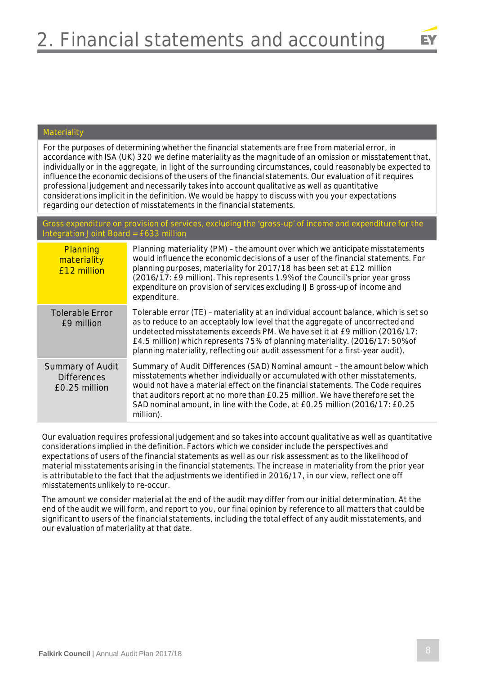

#### **Materiality**

For the purposes of determining whether the financial statements are free from material error, in accordance with ISA (UK) 320 we define materiality as the magnitude of an omission or misstatement that, individually or in the aggregate, in light of the surrounding circumstances, could reasonably be expected to influence the economic decisions of the users of the financial statements. Our evaluation of it requires professional judgement and necessarily takes into account qualitative as well as quantitative considerations implicit in the definition. We would be happy to discuss with you your expectations regarding our detection of misstatements in the financial statements.

**Gross expenditure on provision of services, excluding the 'gross-up' of income and expenditure for the Integration Joint Board = £633 million**

| Planning<br>materiality<br>£12 million                  | Planning materiality (PM) - the amount over which we anticipate misstatements<br>would influence the economic decisions of a user of the financial statements. For<br>planning purposes, materiality for 2017/18 has been set at £12 million<br>(2016/17: £9 million). This represents 1.9% of the Council's prior year gross<br>expenditure on provision of services excluding IJB gross-up of income and<br>expenditure. |
|---------------------------------------------------------|----------------------------------------------------------------------------------------------------------------------------------------------------------------------------------------------------------------------------------------------------------------------------------------------------------------------------------------------------------------------------------------------------------------------------|
| <b>Tolerable Error</b><br>£9 million                    | Tolerable error (TE) - materiality at an individual account balance, which is set so<br>as to reduce to an acceptably low level that the aggregate of uncorrected and<br>undetected misstatements exceeds PM. We have set it at £9 million (2016/17:<br>£4.5 million) which represents 75% of planning materiality. (2016/17: 50% of<br>planning materiality, reflecting our audit assessment for a first-year audit).     |
| Summary of Audit<br><b>Differences</b><br>£0.25 million | Summary of Audit Differences (SAD) Nominal amount - the amount below which<br>misstatements whether individually or accumulated with other misstatements,<br>would not have a material effect on the financial statements. The Code requires<br>that auditors report at no more than £0.25 million. We have therefore set the<br>SAD nominal amount, in line with the Code, at £0.25 million (2016/17: £0.25<br>million).  |

Our evaluation requires professional judgement and so takes into account qualitative as well as quantitative considerations implied in the definition. Factors which we consider include the perspectives and expectations of users of the financial statements as well as our risk assessment as to the likelihood of material misstatements arising in the financial statements. The increase in materiality from the prior year is attributable to the fact that the adjustments we identified in 2016/17, in our view, reflect one off misstatements unlikely to re-occur.

The amount we consider material at the end of the audit may differ from our initial determination. At the end of the audit we will form, and report to you, our final opinion by reference to all matters that could be significant to users of the financial statements, including the total effect of any audit misstatements, and our evaluation of materiality at that date.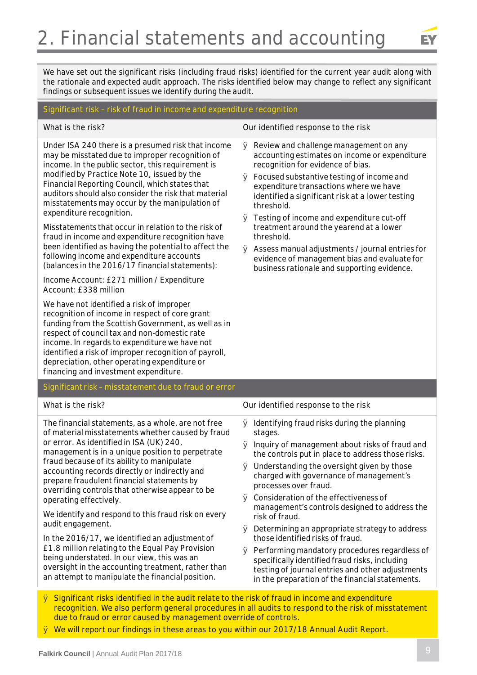

We have set out the significant risks (including fraud risks) identified for the current year audit along with the rationale and expected audit approach. The risks identified below may change to reflect any significant findings or subsequent issues we identify during the audit.

#### **Significant risk – risk of fraud in income and expenditure recognition**

Under ISA 240 there is a presumed risk that income may be misstated due to improper recognition of income. In the public sector, this requirement is modified by Practice Note 10, issued by the Financial Reporting Council, which states that auditors should also consider the risk that material misstatements may occur by the manipulation of expenditure recognition.

Misstatements that occur in relation to the risk of fraud in income and expenditure recognition have been identified as having the potential to affect the following income and expenditure accounts (balances in the 2016/17 financial statements):

Income Account: £271 million / Expenditure Account: £338 million

We have not identified a risk of improper recognition of income in respect of core grant funding from the Scottish Government, as well as in respect of council tax and non-domestic rate income. In regards to expenditure we have not identified a risk of improper recognition of payroll, depreciation, other operating expenditure or financing and investment expenditure.

Significant risk – **misstatement due to fraud or error**

**What is the risk? Our identified response to the risk**

- Ø Review and challenge management on any accounting estimates on income or expenditure recognition for evidence of bias.
- Ø Focused substantive testing of income and expenditure transactions where we have identified a significant risk at a lower testing threshold.
- Ø Testing of income and expenditure cut-off treatment around the yearend at a lower threshold.
- Ø Assess manual adjustments / journal entries for evidence of management bias and evaluate for business rationale and supporting evidence.

| What is the risk?                                                                                                                                                                                                                                                                                                                                                                                                                                                                                                                                                                                                                                                                                                                                                            | Our identified response to the risk                                                                                                                                                                                                                                                                                                                                                                                                                                                                                                                                                                                                                                                                                                         |
|------------------------------------------------------------------------------------------------------------------------------------------------------------------------------------------------------------------------------------------------------------------------------------------------------------------------------------------------------------------------------------------------------------------------------------------------------------------------------------------------------------------------------------------------------------------------------------------------------------------------------------------------------------------------------------------------------------------------------------------------------------------------------|---------------------------------------------------------------------------------------------------------------------------------------------------------------------------------------------------------------------------------------------------------------------------------------------------------------------------------------------------------------------------------------------------------------------------------------------------------------------------------------------------------------------------------------------------------------------------------------------------------------------------------------------------------------------------------------------------------------------------------------------|
| The financial statements, as a whole, are not free<br>of material misstatements whether caused by fraud<br>or error. As identified in ISA (UK) 240,<br>management is in a unique position to perpetrate<br>fraud because of its ability to manipulate<br>accounting records directly or indirectly and<br>prepare fraudulent financial statements by<br>overriding controls that otherwise appear to be<br>operating effectively.<br>We identify and respond to this fraud risk on every<br>audit engagement.<br>In the 2016/17, we identified an adjustment of<br>£1.8 million relating to the Equal Pay Provision<br>being understated. In our view, this was an<br>oversight in the accounting treatment, rather than<br>an attempt to manipulate the financial position. | Identifying fraud risks during the planning<br>Ø<br>stages.<br>Inquiry of management about risks of fraud and<br>Ø<br>the controls put in place to address those risks.<br>$\varnothing$ Understanding the oversight given by those<br>charged with governance of management's<br>processes over fraud.<br>Consideration of the effectiveness of<br>Ø<br>management's controls designed to address the<br>risk of fraud.<br>$\varnothing$ Determining an appropriate strategy to address<br>those identified risks of fraud.<br>Performing mandatory procedures regardless of<br>Ø<br>specifically identified fraud risks, including<br>testing of journal entries and other adjustments<br>in the preparation of the financial statements. |
|                                                                                                                                                                                                                                                                                                                                                                                                                                                                                                                                                                                                                                                                                                                                                                              |                                                                                                                                                                                                                                                                                                                                                                                                                                                                                                                                                                                                                                                                                                                                             |

- Ø **Significant risks identified in the audit relate to the risk of fraud in income and expenditure recognition. We also perform general procedures in all audits to respond to the risk of misstatement due to fraud or error caused by management override of controls.**
- Ø **We will report our findings in these areas to you within our 2017/18 Annual Audit Report.**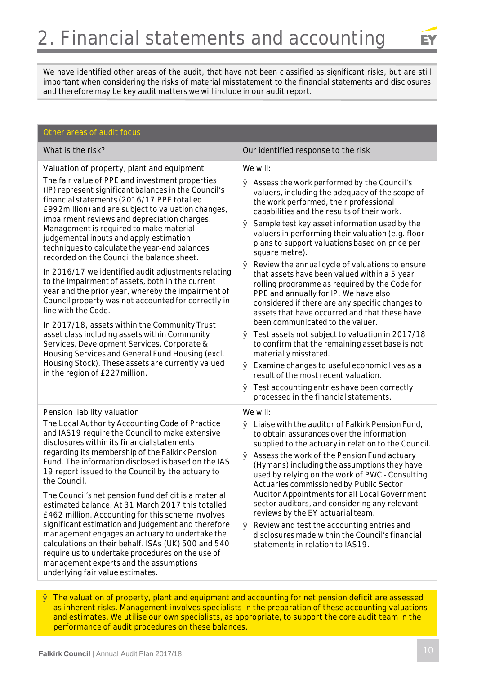

We have identified other areas of the audit, that have not been classified as significant risks, but are still important when considering the risks of material misstatement to the financial statements and disclosures and therefore may be key audit matters we will include in our audit report.

#### **Other areas of audit focus**

**Valuation of property, plant and equipment**

The fair value of PPE and investment properties (IP) represent significant balances in the Council's financial statements (2016/17 PPE totalled £992million) and are subject to valuation changes, impairment reviews and depreciation charges. Management is required to make material judgemental inputs and apply estimation techniques to calculate the year-end balances recorded on the Council the balance sheet.

In 2016/17 we identified audit adjustments relating to the impairment of assets, both in the current year and the prior year, whereby the impairment of Council property was not accounted for correctly in line with the Code.

In 2017/18, assets within the Community Trust asset class including assets within Community Services, Development Services, Corporate & Housing Services and General Fund Housing (excl. Housing Stock). These assets are currently valued in the region of £227million.

#### **Pension liability valuation**

The Local Authority Accounting Code of Practice and IAS19 require the Council to make extensive disclosures within its financial statements regarding its membership of the Falkirk Pension Fund. The information disclosed is based on the IAS 19 report issued to the Council by the actuary to the Council.

The Council's net pension fund deficit is a material estimated balance. At 31 March 2017 this totalled £462 million. Accounting for this scheme involves significant estimation and judgement and therefore management engages an actuary to undertake the calculations on their behalf. ISAs (UK) 500 and 540 require us to undertake procedures on the use of management experts and the assumptions underlying fair value estimates.

**What is the risk? Our identified response to the risk**

#### We will:

- Ø Assess the work performed by the Council's valuers, including the adequacy of the scope of the work performed, their professional capabilities and the results of their work.
- $\varnothing$  Sample test key asset information used by the valuers in performing their valuation (e.g. floor plans to support valuations based on price per square metre).
- $\varnothing$  Review the annual cycle of valuations to ensure that assets have been valued within a 5 year rolling programme as required by the Code for PPE and annually for IP. We have also considered if there are any specific changes to assets that have occurred and that these have been communicated to the valuer.
- Ø Test assets not subject to valuation in 2017/18 to confirm that the remaining asset base is not materially misstated.
- Ø Examine changes to useful economic lives as a result of the most recent valuation.
- Ø Test accounting entries have been correctly processed in the financial statements.

#### We will:

- Ø Liaise with the auditor of Falkirk Pension Fund, to obtain assurances over the information supplied to the actuary in relation to the Council.
- Ø Assess the work of the Pension Fund actuary (Hymans) including the assumptions they have used by relying on the work of PWC - Consulting Actuaries commissioned by Public Sector Auditor Appointments for all Local Government sector auditors, and considering any relevant reviews by the EY actuarial team.
- Ø Review and test the accounting entries and disclosures made within the Council's financial statements in relation to IAS19.

Ø **The valuation of property, plant and equipment and accounting for net pension deficit are assessed as inherent risks. Management involves specialists in the preparation of these accounting valuations and estimates. We utilise our own specialists, as appropriate, to support the core audit team in the performance of audit procedures on these balances.**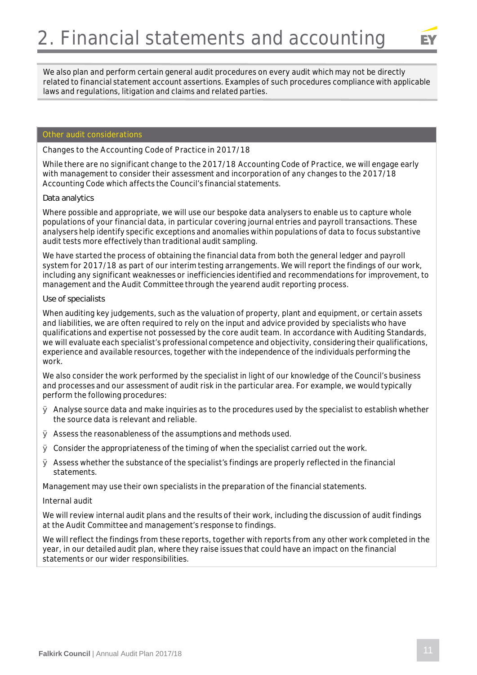

We also plan and perform certain general audit procedures on every audit which may not be directly related to financial statement account assertions. Examples of such procedures compliance with applicable laws and regulations, litigation and claims and related parties.

### **Other audit considerations**

#### *Changes to the Accounting Code of Practice in 2017/18*

While there are no significant change to the 2017/18 Accounting Code of Practice, we will engage early with management to consider their assessment and incorporation of any changes to the 2017/18 Accounting Code which affects the Council's financial statements.

#### *Data analytics*

Where possible and appropriate, we will use our bespoke data analysers to enable us to capture whole populations of your financial data, in particular covering journal entries and payroll transactions. These analysers help identify specific exceptions and anomalies within populations of data to focus substantive audit tests more effectively than traditional audit sampling.

We have started the process of obtaining the financial data from both the general ledger and payroll system for 2017/18 as part of our interim testing arrangements. We will report the findings of our work, including any significant weaknesses or inefficiencies identified and recommendations for improvement, to management and the Audit Committee through the yearend audit reporting process.

#### *Use of specialists*

When auditing key judgements, such as the valuation of property, plant and equipment, or certain assets and liabilities, we are often required to rely on the input and advice provided by specialists who have qualifications and expertise not possessed by the core audit team. In accordance with Auditing Standards, we will evaluate each specialist's professional competence and objectivity, considering their qualifications, experience and available resources, together with the independence of the individuals performing the work.

We also consider the work performed by the specialist in light of our knowledge of the Council's business and processes and our assessment of audit risk in the particular area. For example, we would typically perform the following procedures:

- $\varnothing$  Analyse source data and make inquiries as to the procedures used by the specialist to establish whether the source data is relevant and reliable.
- $\varnothing$  Assess the reasonableness of the assumptions and methods used.
- $\varnothing$  Consider the appropriateness of the timing of when the specialist carried out the work.
- $\varnothing$  Assess whether the substance of the specialist's findings are properly reflected in the financial statements.

Management may use their own specialists in the preparation of the financial statements.

#### *Internal audit*

We will review internal audit plans and the results of their work, including the discussion of audit findings at the Audit Committee and management's response to findings.

We will reflect the findings from these reports, together with reports from any other work completed in the year, in our detailed audit plan, where they raise issues that could have an impact on the financial statements or our wider responsibilities.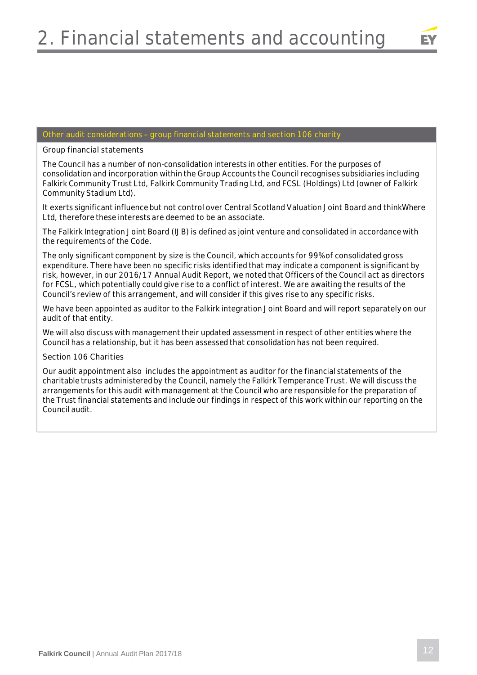

### **Other audit considerations – group financial statements and section 106 charity**

**Group financial statements**

The Council has a number of non-consolidation interests in other entities. For the purposes of consolidation and incorporation within the Group Accounts the Council recognises subsidiaries including Falkirk Community Trust Ltd, Falkirk Community Trading Ltd, and FCSL (Holdings) Ltd (owner of Falkirk Community Stadium Ltd).

It exerts significant influence but not control over Central Scotland Valuation Joint Board and thinkWhere Ltd, therefore these interests are deemed to be an associate.

The Falkirk Integration Joint Board (IJB) is defined as joint venture and consolidated in accordance with the requirements of the Code.

The only significant component by size is the Council, which accounts for 99% of consolidated gross expenditure. There have been no specific risks identified that may indicate a component is significant by risk, however, in our 2016/17 Annual Audit Report, we noted that Officers of the Council act as directors for FCSL, which potentially could give rise to a conflict of interest. We are awaiting the results of the Council's review of this arrangement, and will consider if this gives rise to any specific risks.

We have been appointed as auditor to the Falkirk integration Joint Board and will report separately on our audit of that entity.

We will also discuss with management their updated assessment in respect of other entities where the Council has a relationship, but it has been assessed that consolidation has not been required.

**Section 106 Charities**

Our audit appointment also includes the appointment as auditor for the financial statements of the charitable trusts administered by the Council, namely the Falkirk Temperance Trust. We will discuss the arrangements for this audit with management at the Council who are responsible for the preparation of the Trust financial statements and include our findings in respect of this work within our reporting on the Council audit.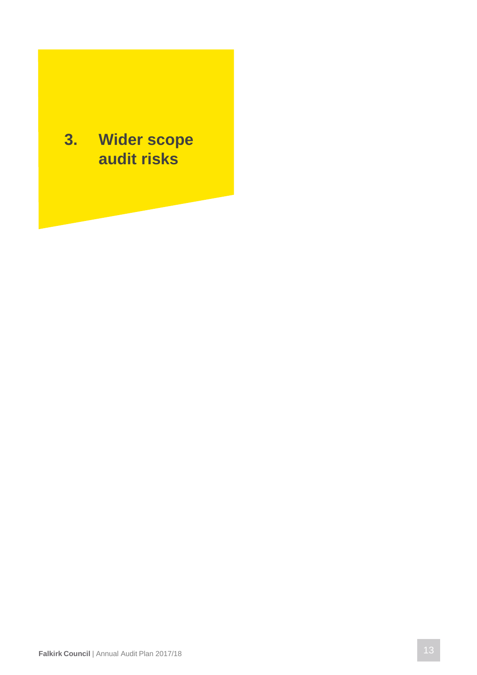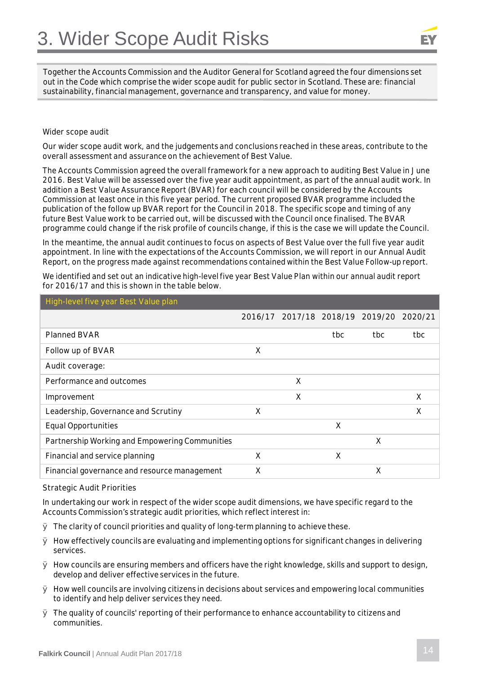

Together the Accounts Commission and the Auditor General for Scotland agreed the four dimensions set out in the Code which comprise the wider scope audit for public sector in Scotland. These are: financial sustainability, financial management, governance and transparency, and value for money.

#### **Wider scope audit**

Our wider scope audit work, and the judgements and conclusions reached in these areas, contribute to the overall assessment and assurance on the achievement of Best Value.

The Accounts Commission agreed the overall framework for a new approach to auditing Best Value in June 2016. Best Value will be assessed over the five year audit appointment, as part of the annual audit work. In addition a Best Value Assurance Report (BVAR) for each council will be considered by the Accounts Commission at least once in this five year period. The current proposed BVAR programme included the publication of the follow up BVAR report for the Council in 2018. The specific scope and timing of any future Best Value work to be carried out, will be discussed with the Council once finalised. The BVAR programme could change if the risk profile of councils change, if this is the case we will update the Council.

In the meantime, the annual audit continues to focus on aspects of Best Value over the full five year audit appointment. In line with the expectations of the Accounts Commission, we will report in our Annual Audit Report, on the progress made against recommendations contained within the Best Value Follow-up report.

We identified and set out an indicative high-level five year Best Value Plan within our annual audit report for 2016/17 and this is shown in the table below.

| High-level five year Best Value plan           |   |                                 |     |     |         |
|------------------------------------------------|---|---------------------------------|-----|-----|---------|
|                                                |   | 2016/17 2017/18 2018/19 2019/20 |     |     | 2020/21 |
| <b>Planned BVAR</b>                            |   |                                 | tbc | tbc | tbc.    |
| Follow up of BVAR                              | X |                                 |     |     |         |
| Audit coverage:                                |   |                                 |     |     |         |
| Performance and outcomes                       |   | X                               |     |     |         |
| Improvement                                    |   | X                               |     |     | X       |
| Leadership, Governance and Scrutiny            | X |                                 |     |     | X       |
| <b>Equal Opportunities</b>                     |   |                                 | X   |     |         |
| Partnership Working and Empowering Communities |   |                                 |     | X   |         |
| Financial and service planning                 | X |                                 | X   |     |         |
| Financial governance and resource management   | X |                                 |     | X   |         |

#### **Strategic Audit Priorities**

In undertaking our work in respect of the wider scope audit dimensions, we have specific regard to the Accounts Commission's strategic audit priorities, which reflect interest in:

- $\varnothing$  The clarity of council priorities and quality of long-term planning to achieve these.
- $\varnothing$  How effectively councils are evaluating and implementing options for significant changes in delivering services.
- Ø How councils are ensuring members and officers have the right knowledge, skills and support to design, develop and deliver effective services in the future.
- $\varnothing$  How well councils are involving citizens in decisions about services and empowering local communities to identify and help deliver services they need.
- $\varnothing$  The quality of councils' reporting of their performance to enhance accountability to citizens and communities.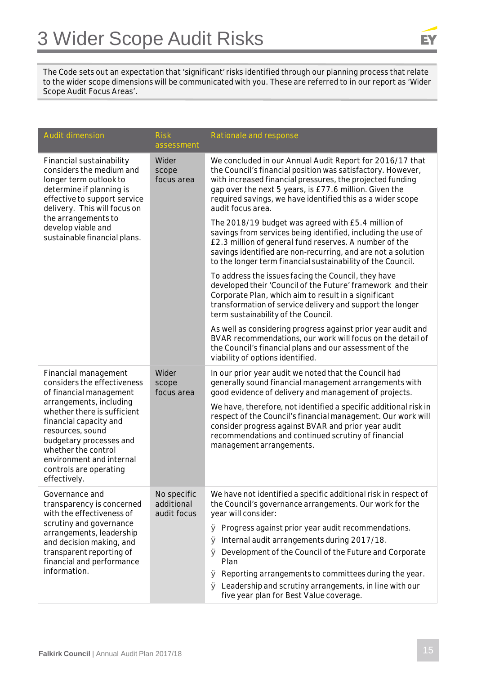

The Code sets out an expectation that 'significant' risks identified through our planning process that relate to the wider scope dimensions will be communicated with you. These are referred to in our report as 'Wider Scope Audit Focus Areas'.

| <b>Audit dimension</b>                                                                                                                                                                            | <b>Risk</b><br>assessment                                                                                                                                                                                | Rationale and response                                                                                                                                                                                                                                                                                                            |
|---------------------------------------------------------------------------------------------------------------------------------------------------------------------------------------------------|----------------------------------------------------------------------------------------------------------------------------------------------------------------------------------------------------------|-----------------------------------------------------------------------------------------------------------------------------------------------------------------------------------------------------------------------------------------------------------------------------------------------------------------------------------|
| Financial sustainability<br>considers the medium and<br>longer term outlook to<br>determine if planning is<br>effective to support service<br>delivery. This will focus on                        | Wider<br>scope<br>focus area                                                                                                                                                                             | We concluded in our Annual Audit Report for 2016/17 that<br>the Council's financial position was satisfactory. However,<br>with increased financial pressures, the projected funding<br>gap over the next 5 years, is £77.6 million. Given the<br>required savings, we have identified this as a wider scope<br>audit focus area. |
| the arrangements to<br>develop viable and<br>sustainable financial plans.                                                                                                                         |                                                                                                                                                                                                          | The 2018/19 budget was agreed with £5.4 million of<br>savings from services being identified, including the use of<br>£2.3 million of general fund reserves. A number of the<br>savings identified are non-recurring, and are not a solution<br>to the longer term financial sustainability of the Council.                       |
|                                                                                                                                                                                                   |                                                                                                                                                                                                          | To address the issues facing the Council, they have<br>developed their 'Council of the Future' framework and their<br>Corporate Plan, which aim to result in a significant<br>transformation of service delivery and support the longer<br>term sustainability of the Council.                                                    |
|                                                                                                                                                                                                   |                                                                                                                                                                                                          | As well as considering progress against prior year audit and<br>BVAR recommendations, our work will focus on the detail of<br>the Council's financial plans and our assessment of the<br>viability of options identified.                                                                                                         |
| Financial management<br>considers the effectiveness<br>of financial management<br>arrangements, including                                                                                         | Wider<br>In our prior year audit we noted that the Council had<br>generally sound financial management arrangements with<br>scope<br>good evidence of delivery and management of projects.<br>focus area |                                                                                                                                                                                                                                                                                                                                   |
| whether there is sufficient<br>financial capacity and<br>resources, sound<br>budgetary processes and<br>whether the control<br>environment and internal<br>controls are operating<br>effectively. |                                                                                                                                                                                                          | We have, therefore, not identified a specific additional risk in<br>respect of the Council's financial management. Our work will<br>consider progress against BVAR and prior year audit<br>recommendations and continued scrutiny of financial<br>management arrangements.                                                        |
| Governance and<br>transparency is concerned<br>with the effectiveness of                                                                                                                          | No specific<br>additional<br>audit focus                                                                                                                                                                 | We have not identified a specific additional risk in respect of<br>the Council's governance arrangements. Our work for the<br>year will consider:                                                                                                                                                                                 |
| scrutiny and governance<br>arrangements, leadership                                                                                                                                               |                                                                                                                                                                                                          | Ø Progress against prior year audit recommendations.                                                                                                                                                                                                                                                                              |
| and decision making, and<br>transparent reporting of                                                                                                                                              |                                                                                                                                                                                                          | Internal audit arrangements during 2017/18.<br>Ø<br>Development of the Council of the Future and Corporate<br>Ø                                                                                                                                                                                                                   |
| financial and performance                                                                                                                                                                         |                                                                                                                                                                                                          | Plan                                                                                                                                                                                                                                                                                                                              |
| information.                                                                                                                                                                                      |                                                                                                                                                                                                          | $\varnothing$ Reporting arrangements to committees during the year.                                                                                                                                                                                                                                                               |
|                                                                                                                                                                                                   |                                                                                                                                                                                                          | $\varnothing$ Leadership and scrutiny arrangements, in line with our<br>five year plan for Best Value coverage.                                                                                                                                                                                                                   |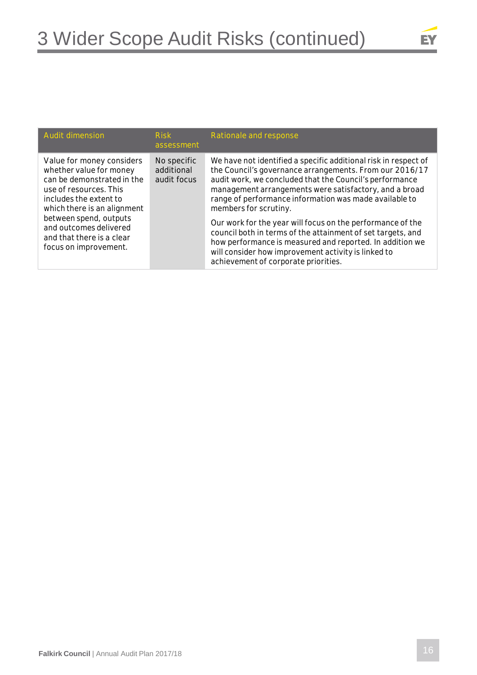

| <b>Audit dimension</b>                                                                                                                                                                                                                                                          | <b>Risk</b><br>assessment                | Rationale and response                                                                                                                                                                                                                                                                                                                                                                                                                                                                                                                                                                                                     |
|---------------------------------------------------------------------------------------------------------------------------------------------------------------------------------------------------------------------------------------------------------------------------------|------------------------------------------|----------------------------------------------------------------------------------------------------------------------------------------------------------------------------------------------------------------------------------------------------------------------------------------------------------------------------------------------------------------------------------------------------------------------------------------------------------------------------------------------------------------------------------------------------------------------------------------------------------------------------|
| Value for money considers<br>whether value for money<br>can be demonstrated in the<br>use of resources. This<br>includes the extent to<br>which there is an alignment<br>between spend, outputs<br>and outcomes delivered<br>and that there is a clear<br>focus on improvement. | No specific<br>additional<br>audit focus | We have not identified a specific additional risk in respect of<br>the Council's governance arrangements. From our 2016/17<br>audit work, we concluded that the Council's performance<br>management arrangements were satisfactory, and a broad<br>range of performance information was made available to<br>members for scrutiny.<br>Our work for the year will focus on the performance of the<br>council both in terms of the attainment of set targets, and<br>how performance is measured and reported. In addition we<br>will consider how improvement activity is linked to<br>achievement of corporate priorities. |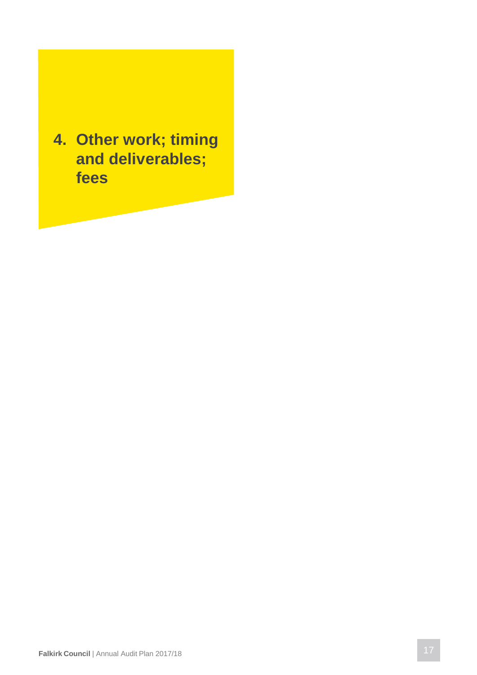**4. Other work; timing and deliverables; fees**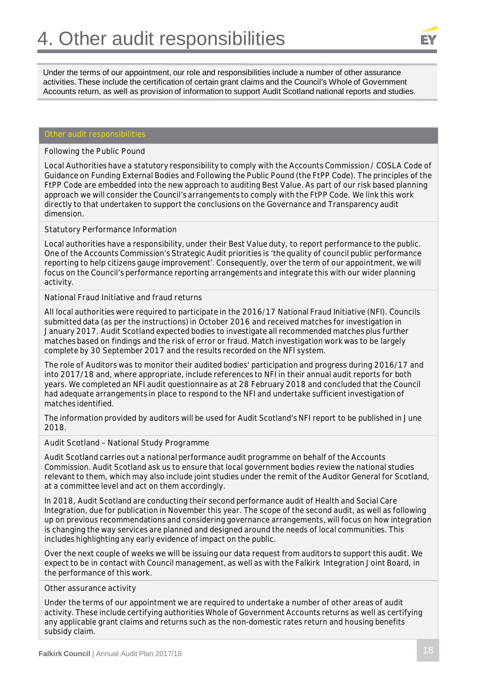Under the terms of our appointment, our role and responsibilities include a number of other assurance activities. These include the certification of certain grant claims and the Council's Whole of Government Accounts return, as well as provision of information to support Audit Scotland national reports and studies.

### **Other audit responsibilities**

#### **Following the Public Pound**

Local Authorities have a statutory responsibility to comply with the Accounts Commission / COSLA Code of Guidance on Funding External Bodies and Following the Public Pound (the FtPP Code). The principles of the FtPP Code are embedded into the new approach to auditing Best Value. As part of our risk based planning approach we will consider the Council's arrangements to comply with the FtPP Code. We link this work directly to that undertaken to support the conclusions on the Governance and Transparency audit dimension.

#### **Statutory Performance Information**

Local authorities have a responsibility, under their Best Value duty, to report performance to the public. One of the Accounts Commission's Strategic Audit priorities is 'the quality of council public performance reporting to help citizens gauge improvement'. Consequently, over the term of our appointment, we will focus on the Council's performance reporting arrangements and integrate this with our wider planning activity.

#### **National Fraud Initiative and fraud returns**

All local authorities were required to participate in the 2016/17 National Fraud Initiative (NFI). Councils submitted data (as per the instructions) in October 2016 and received matches for investigation in January 2017. Audit Scotland expected bodies to investigate all recommended matches plus further matches based on findings and the risk of error or fraud. Match investigation work was to be largely complete by 30 September 2017 and the results recorded on the NFI system.

The role of Auditors was to monitor their audited bodies' participation and progress during 2016/17 and into 2017/18 and, where appropriate, include references to NFI in their annual audit reports for both years. We completed an NFI audit questionnaire as at 28 February 2018 and concluded that the Council had adequate arrangements in place to respond to the NFI and undertake sufficient investigation of matches identified.

The information provided by auditors will be used for Audit Scotland's NFI report to be published in June 2018.

#### **Audit Scotland – National Study Programme**

Audit Scotland carries out a national performance audit programme on behalf of the Accounts Commission. Audit Scotland ask us to ensure that local government bodies review the national studies relevant to them, which may also include joint studies under the remit of the Auditor General for Scotland, at a committee level and act on them accordingly.

In 2018, Audit Scotland are conducting their second performance audit of Health and Social Care Integration, due for publication in November this year. The scope of the second audit, as well as following up on previous recommendations and considering governance arrangements, will focus on how integration is changing the way services are planned and designed around the needs of local communities. This includes highlighting any early evidence of impact on the public.

Over the next couple of weeks we will be issuing our data request from auditors to support this audit. We expect to be in contact with Council management, as well as with the Falkirk Integration Joint Board, in the performance of this work.

#### **Other assurance activity**

Under the terms of our appointment we are required to undertake a number of other areas of audit activity. These include certifying authorities Whole of Government Accounts returns as well as certifying any applicable grant claims and returns such as the non-domestic rates return and housing benefits subsidy claim.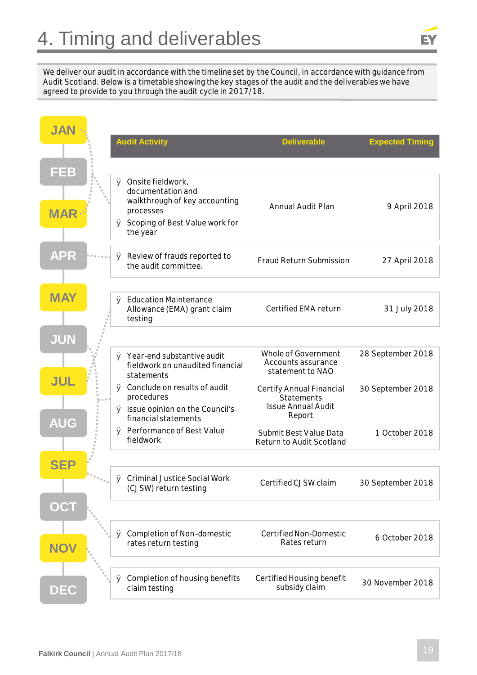We deliver our audit in accordance with the timeline set by the Council, in accordance with guidance from Audit Scotland. Below is a timetable showing the key stages of the audit and the deliverables we have agreed to provide to you through the audit cycle in 2017/18.

| <b>JAN</b> | <b>Audit Activity</b>                                                                      | <b>Deliverable</b>                                            | <b>Expected Timing</b> |
|------------|--------------------------------------------------------------------------------------------|---------------------------------------------------------------|------------------------|
|            |                                                                                            |                                                               |                        |
| FEB        |                                                                                            |                                                               |                        |
|            | $\varnothing$ Onsite fieldwork,<br>documentation and<br>walkthrough of key accounting      | <b>Annual Audit Plan</b>                                      | 9 April 2018           |
| <b>MAR</b> | processes<br>Ø Scoping of Best Value work for<br>the year                                  |                                                               |                        |
| <b>APR</b> | $\varnothing$ Review of frauds reported to<br>the audit committee.                         | <b>Fraud Return Submission</b>                                | 27 April 2018          |
| <b>MAY</b> | Ø Education Maintenance<br>Allowance (EMA) grant claim<br>testing                          | Certified EMA return                                          | 31 July 2018           |
| JUN        |                                                                                            |                                                               |                        |
| <b>JUL</b> | $\varnothing$ Year-end substantive audit<br>fieldwork on unaudited financial<br>statements | Whole of Government<br>Accounts assurance<br>statement to NAO | 28 September 2018      |
|            | Ø Conclude on results of audit<br>procedures                                               | Certify Annual Financial<br>Statements                        | 30 September 2018      |
| <b>AUG</b> | $\varnothing$ Issue opinion on the Council's<br>financial statements                       | <b>Issue Annual Audit</b><br>Report                           |                        |
|            | Ø Performance of Best Value<br>fieldwork                                                   | Submit Best Value Data<br>Return to Audit Scotland            | 1 October 2018         |
| SEP        |                                                                                            |                                                               |                        |
|            | ∅ Criminal Justice Social Work<br>(CJSW) return testing                                    | Certified CJSW claim                                          | 30 September 2018      |
| OCT        |                                                                                            |                                                               |                        |
| <b>NOV</b> | Completion of Non-domestic<br>Ø<br>rates return testing                                    | Certified Non-Domestic<br>Rates return                        | 6 October 2018         |
|            |                                                                                            |                                                               |                        |
| DEC        | $\varnothing$ Completion of housing benefits<br>claim testing                              | Certified Housing benefit<br>subsidy claim                    | 30 November 2018       |

EY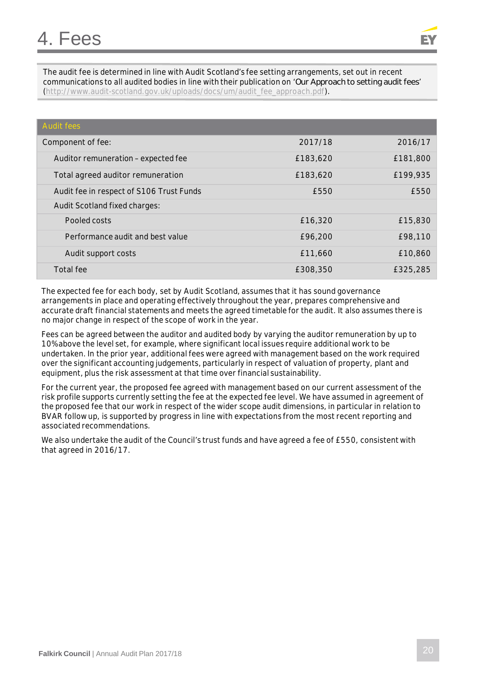The audit fee is determined in line with Audit Scotland's fee setting arrangements, set out in recent communications to all audited bodies in line with their publication on '*Our Approach to setting audit fees*' (http://www.audit-scotland.gov.uk/uploads/docs/um/audit\_fee\_approach.pdf).

| <b>Audit fees</b>                        |          |          |
|------------------------------------------|----------|----------|
| Component of fee:                        | 2017/18  | 2016/17  |
| Auditor remuneration - expected fee      | £183,620 | £181,800 |
| Total agreed auditor remuneration        | £183,620 | £199,935 |
| Audit fee in respect of S106 Trust Funds | £550     | £550     |
| Audit Scotland fixed charges:            |          |          |
| Pooled costs                             | £16,320  | £15,830  |
| Performance audit and best value         | £96,200  | £98,110  |
| Audit support costs                      | £11,660  | £10,860  |
| Total fee                                | £308,350 | £325,285 |

The expected fee for each body, set by Audit Scotland, assumes that it has sound governance arrangements in place and operating effectively throughout the year, prepares comprehensive and accurate draft financial statements and meets the agreed timetable for the audit. It also assumes there is no major change in respect of the scope of work in the year.

Fees can be agreed between the auditor and audited body by varying the auditor remuneration by up to 10% above the level set, for example, where significant local issues require additional work to be undertaken. In the prior year, additional fees were agreed with management based on the work required over the significant accounting judgements, particularly in respect of valuation of property, plant and equipment, plus the risk assessment at that time over financial sustainability.

For the current year, the proposed fee agreed with management based on our current assessment of the risk profile supports currently setting the fee at the expected fee level. We have assumed in agreement of the proposed fee that our work in respect of the wider scope audit dimensions, in particular in relation to BVAR follow up, is supported by progress in line with expectations from the most recent reporting and associated recommendations.

We also undertake the audit of the Council's trust funds and have agreed a fee of £550, consistent with that agreed in 2016/17.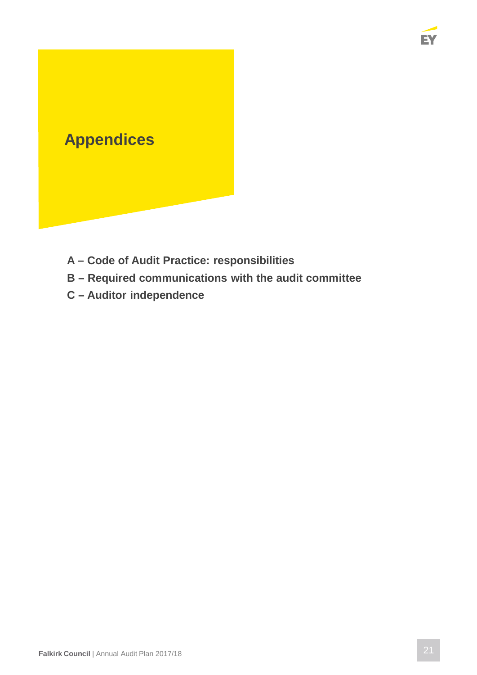

- **A Code of Audit Practice: responsibilities**
- **B Required communications with the audit committee**
- **C Auditor independence**

EY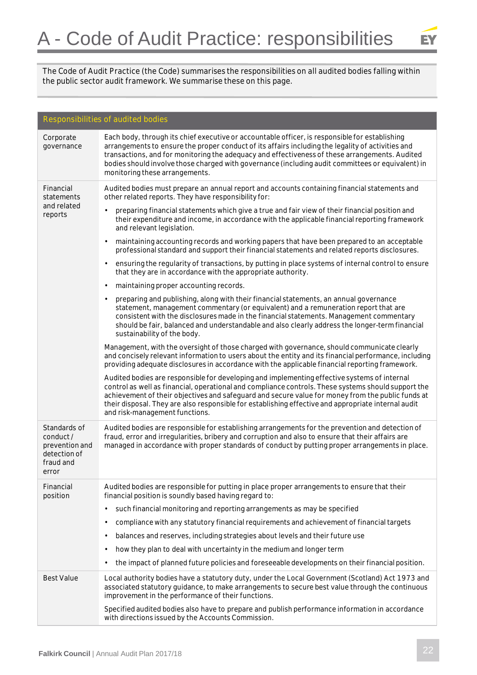

The Code of Audit Practice (the Code) summarises the responsibilities on all audited bodies falling within the public sector audit framework. We summarise these on this page.

| Responsibilities of audited bodies                                               |                                                                                                                                                                                                                                                                                                                                                                                                                                                   |  |  |  |
|----------------------------------------------------------------------------------|---------------------------------------------------------------------------------------------------------------------------------------------------------------------------------------------------------------------------------------------------------------------------------------------------------------------------------------------------------------------------------------------------------------------------------------------------|--|--|--|
| Corporate<br>governance                                                          | Each body, through its chief executive or accountable officer, is responsible for establishing<br>arrangements to ensure the proper conduct of its affairs including the legality of activities and<br>transactions, and for monitoring the adequacy and effectiveness of these arrangements. Audited<br>bodies should involve those charged with governance (including audit committees or equivalent) in<br>monitoring these arrangements.      |  |  |  |
| Financial<br>statements<br>and related<br>reports                                | Audited bodies must prepare an annual report and accounts containing financial statements and<br>other related reports. They have responsibility for:                                                                                                                                                                                                                                                                                             |  |  |  |
|                                                                                  | preparing financial statements which give a true and fair view of their financial position and<br>their expenditure and income, in accordance with the applicable financial reporting framework<br>and relevant legislation.                                                                                                                                                                                                                      |  |  |  |
|                                                                                  | maintaining accounting records and working papers that have been prepared to an acceptable<br>professional standard and support their financial statements and related reports disclosures.                                                                                                                                                                                                                                                       |  |  |  |
|                                                                                  | ensuring the regularity of transactions, by putting in place systems of internal control to ensure<br>that they are in accordance with the appropriate authority.                                                                                                                                                                                                                                                                                 |  |  |  |
|                                                                                  | maintaining proper accounting records.                                                                                                                                                                                                                                                                                                                                                                                                            |  |  |  |
|                                                                                  | preparing and publishing, along with their financial statements, an annual governance<br>statement, management commentary (or equivalent) and a remuneration report that are<br>consistent with the disclosures made in the financial statements. Management commentary<br>should be fair, balanced and understandable and also clearly address the longer-term financial<br>sustainability of the body.                                          |  |  |  |
|                                                                                  | Management, with the oversight of those charged with governance, should communicate clearly<br>and concisely relevant information to users about the entity and its financial performance, including<br>providing adequate disclosures in accordance with the applicable financial reporting framework.                                                                                                                                           |  |  |  |
|                                                                                  | Audited bodies are responsible for developing and implementing effective systems of internal<br>control as well as financial, operational and compliance controls. These systems should support the<br>achievement of their objectives and safeguard and secure value for money from the public funds at<br>their disposal. They are also responsible for establishing effective and appropriate internal audit<br>and risk-management functions. |  |  |  |
| Standards of<br>conduct/<br>prevention and<br>detection of<br>fraud and<br>error | Audited bodies are responsible for establishing arrangements for the prevention and detection of<br>fraud, error and irregularities, bribery and corruption and also to ensure that their affairs are<br>managed in accordance with proper standards of conduct by putting proper arrangements in place.                                                                                                                                          |  |  |  |
| Financial<br>position                                                            | Audited bodies are responsible for putting in place proper arrangements to ensure that their<br>financial position is soundly based having regard to:                                                                                                                                                                                                                                                                                             |  |  |  |
|                                                                                  | such financial monitoring and reporting arrangements as may be specified                                                                                                                                                                                                                                                                                                                                                                          |  |  |  |
|                                                                                  | compliance with any statutory financial requirements and achievement of financial targets<br>٠                                                                                                                                                                                                                                                                                                                                                    |  |  |  |
|                                                                                  | balances and reserves, including strategies about levels and their future use                                                                                                                                                                                                                                                                                                                                                                     |  |  |  |
|                                                                                  | how they plan to deal with uncertainty in the medium and longer term<br>٠                                                                                                                                                                                                                                                                                                                                                                         |  |  |  |
|                                                                                  | the impact of planned future policies and foreseeable developments on their financial position.                                                                                                                                                                                                                                                                                                                                                   |  |  |  |
| <b>Best Value</b>                                                                | Local authority bodies have a statutory duty, under the Local Government (Scotland) Act 1973 and<br>associated statutory guidance, to make arrangements to secure best value through the continuous<br>improvement in the performance of their functions.                                                                                                                                                                                         |  |  |  |
|                                                                                  | Specified audited bodies also have to prepare and publish performance information in accordance<br>with directions issued by the Accounts Commission.                                                                                                                                                                                                                                                                                             |  |  |  |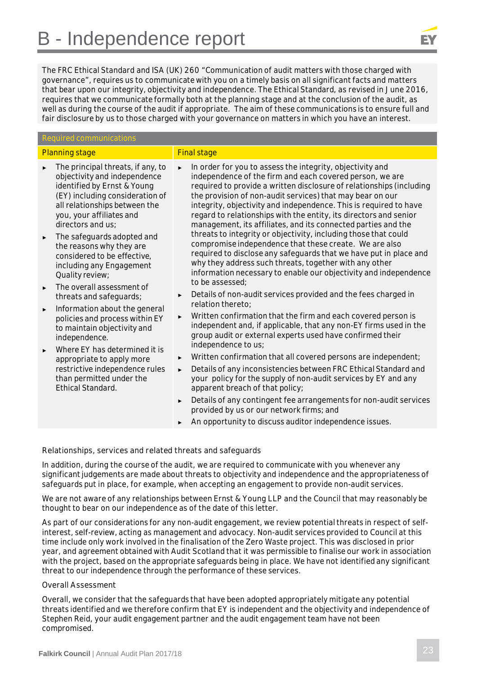## B - Independence report

The FRC Ethical Standard and ISA (UK) 260 "Communication of audit matters with those charged with governance", requires us to communicate with you on a timely basis on all significant facts and matters that bear upon our integrity, objectivity and independence. The Ethical Standard, as revised in June 2016, requires that we communicate formally both at the planning stage and at the conclusion of the audit, as well as during the course of the audit if appropriate. The aim of these communications is to ensure full and fair disclosure by us to those charged with your governance on matters in which you have an interest.

#### Required communications

- Planning stage Final stage The principal threats, if any, to objectivity and independence identified by Ernst & Young (EY) including consideration of all relationships between the you, your affiliates and directors and us; The safeguards adopted and the reasons why they are considered to be effective, including any Engagement Quality review; The overall assessment of threats and safeguards; Information about the general policies and process within EY to maintain objectivity and independence. Where EY has determined it is appropriate to apply more restrictive independence rules than permitted under the Ethical Standard. ► In order for you to assess the integrity, objectivity and independence of the firm and each covered person, we are required to provide a written disclosure of relationships (including the provision of non-audit services) that may bear on our integrity, objectivity and independence. This is required to have regard to relationships with the entity, its directors and senior management, its affiliates, and its connected parties and the threats to integrity or objectivity, including those that could compromise independence that these create. We are also required to disclose any safeguards that we have put in place and why they address such threats, together with any other information necessary to enable our objectivity and independence to be assessed; Details of non-audit services provided and the fees charged in relation thereto; Written confirmation that the firm and each covered person is independent and, if applicable, that any non-EY firms used in the group audit or external experts used have confirmed their independence to us; Written confirmation that all covered persons are independent; Details of any inconsistencies between FRC Ethical Standard and your policy for the supply of non-audit services by EY and any apparent breach of that policy;
	- ► Details of any contingent fee arrangements for non-audit services provided by us or our network firms; and
	- An opportunity to discuss auditor independence issues.

**Relationships, services and related threats and safeguards**

In addition, during the course of the audit, we are required to communicate with you whenever any significant judgements are made about threats to objectivity and independence and the appropriateness of safeguards put in place, for example, when accepting an engagement to provide non-audit services.

We are not aware of any relationships between Ernst & Young LLP and the Council that may reasonably be thought to bear on our independence as of the date of this letter.

As part of our considerations for any non-audit engagement, we review potential threats in respect of selfinterest, self-review, acting as management and advocacy. Non-audit services provided to Council at this time include only work involved in the finalisation of the Zero Waste project. This was disclosed in prior year, and agreement obtained with Audit Scotland that it was permissible to finalise our work in association with the project, based on the appropriate safeguards being in place. We have not identified any significant threat to our independence through the performance of these services.

#### **Overall Assessment**

Overall, we consider that the safeguards that have been adopted appropriately mitigate any potential threats identified and we therefore confirm that EY is independent and the objectivity and independence of Stephen Reid, your audit engagement partner and the audit engagement team have not been compromised.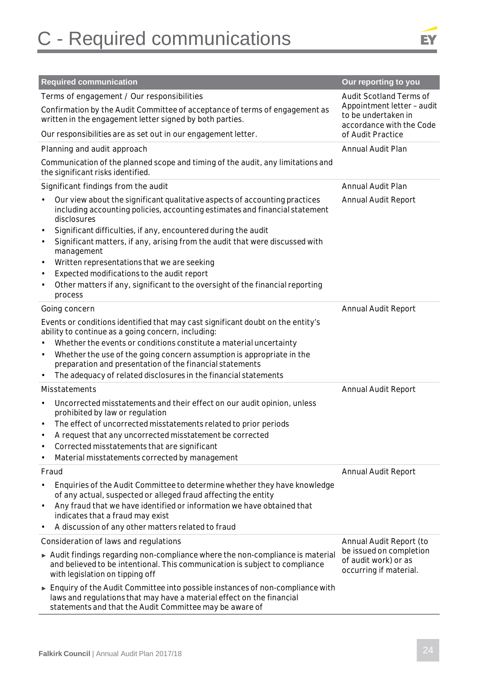# C - Required communications



|                                                                            | <b>Required communication</b>                                                                                                                                                                                                                                                                                                                                                                                                                                                                                                     |                                                                                                                 |  |
|----------------------------------------------------------------------------|-----------------------------------------------------------------------------------------------------------------------------------------------------------------------------------------------------------------------------------------------------------------------------------------------------------------------------------------------------------------------------------------------------------------------------------------------------------------------------------------------------------------------------------|-----------------------------------------------------------------------------------------------------------------|--|
|                                                                            |                                                                                                                                                                                                                                                                                                                                                                                                                                                                                                                                   | Our reporting to you                                                                                            |  |
|                                                                            | Terms of engagement / Our responsibilities<br>Confirmation by the Audit Committee of acceptance of terms of engagement as<br>written in the engagement letter signed by both parties.<br>Our responsibilities are as set out in our engagement letter.                                                                                                                                                                                                                                                                            | <b>Audit Scotland Terms of</b><br>Appointment letter - audit<br>to be undertaken in<br>accordance with the Code |  |
|                                                                            |                                                                                                                                                                                                                                                                                                                                                                                                                                                                                                                                   | of Audit Practice                                                                                               |  |
|                                                                            | Planning and audit approach                                                                                                                                                                                                                                                                                                                                                                                                                                                                                                       | Annual Audit Plan                                                                                               |  |
|                                                                            | Communication of the planned scope and timing of the audit, any limitations and<br>the significant risks identified.                                                                                                                                                                                                                                                                                                                                                                                                              |                                                                                                                 |  |
|                                                                            | Significant findings from the audit                                                                                                                                                                                                                                                                                                                                                                                                                                                                                               | Annual Audit Plan                                                                                               |  |
| $\bullet$<br>$\bullet$<br>$\bullet$<br>$\bullet$<br>$\bullet$<br>$\bullet$ | Our view about the significant qualitative aspects of accounting practices<br>including accounting policies, accounting estimates and financial statement<br>disclosures<br>Significant difficulties, if any, encountered during the audit<br>Significant matters, if any, arising from the audit that were discussed with<br>management<br>Written representations that we are seeking<br>Expected modifications to the audit report<br>Other matters if any, significant to the oversight of the financial reporting<br>process | <b>Annual Audit Report</b>                                                                                      |  |
|                                                                            | Going concern                                                                                                                                                                                                                                                                                                                                                                                                                                                                                                                     | Annual Audit Report                                                                                             |  |
| $\bullet$<br>$\bullet$                                                     | Events or conditions identified that may cast significant doubt on the entity's<br>ability to continue as a going concern, including:<br>Whether the events or conditions constitute a material uncertainty<br>Whether the use of the going concern assumption is appropriate in the<br>preparation and presentation of the financial statements<br>The adequacy of related disclosures in the financial statements                                                                                                               |                                                                                                                 |  |
|                                                                            | Misstatements                                                                                                                                                                                                                                                                                                                                                                                                                                                                                                                     | <b>Annual Audit Report</b>                                                                                      |  |
| $\bullet$<br>٠<br>٠<br>$\bullet$                                           | Uncorrected misstatements and their effect on our audit opinion, unless<br>prohibited by law or regulation<br>The effect of uncorrected misstatements related to prior periods<br>A request that any uncorrected misstatement be corrected<br>Corrected misstatements that are significant<br>Material misstatements corrected by management                                                                                                                                                                                      |                                                                                                                 |  |
|                                                                            | Fraud                                                                                                                                                                                                                                                                                                                                                                                                                                                                                                                             | Annual Audit Report                                                                                             |  |
| $\bullet$<br>$\bullet$<br>$\bullet$                                        | Enquiries of the Audit Committee to determine whether they have knowledge<br>of any actual, suspected or alleged fraud affecting the entity<br>Any fraud that we have identified or information we have obtained that<br>indicates that a fraud may exist<br>A discussion of any other matters related to fraud                                                                                                                                                                                                                   |                                                                                                                 |  |
|                                                                            | Consideration of laws and regulations                                                                                                                                                                                                                                                                                                                                                                                                                                                                                             | Annual Audit Report (to                                                                                         |  |
|                                                                            | Audit findings regarding non-compliance where the non-compliance is material<br>and believed to be intentional. This communication is subject to compliance<br>with legislation on tipping off                                                                                                                                                                                                                                                                                                                                    | be issued on completion<br>of audit work) or as<br>occurring if material.                                       |  |
|                                                                            | $\triangleright$ Enquiry of the Audit Committee into possible instances of non-compliance with<br>laws and regulations that may have a material effect on the financial<br>statements and that the Audit Committee may be aware of                                                                                                                                                                                                                                                                                                |                                                                                                                 |  |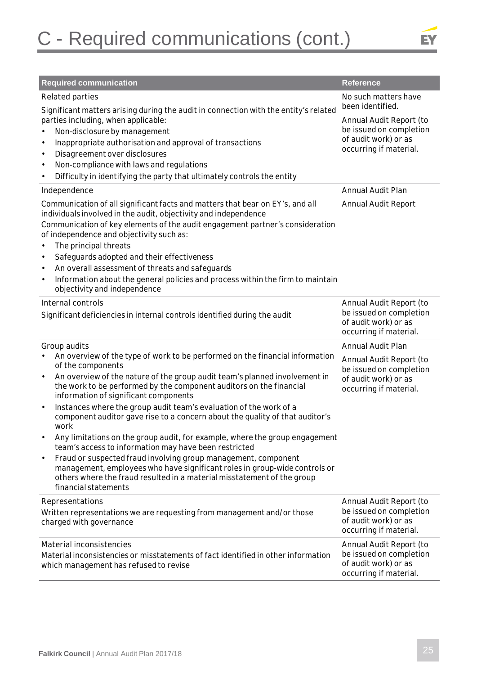

| <b>Required communication</b>                                                                                                                                                                                                                                                                                                                                                                                                                                       | <b>Reference</b>                                                                                                                                 |
|---------------------------------------------------------------------------------------------------------------------------------------------------------------------------------------------------------------------------------------------------------------------------------------------------------------------------------------------------------------------------------------------------------------------------------------------------------------------|--------------------------------------------------------------------------------------------------------------------------------------------------|
| Related parties<br>Significant matters arising during the audit in connection with the entity's related<br>parties including, when applicable:<br>Non-disclosure by management<br>$\bullet$<br>Inappropriate authorisation and approval of transactions<br>$\bullet$<br>Disagreement over disclosures<br>$\bullet$<br>Non-compliance with laws and regulations<br>$\bullet$<br>Difficulty in identifying the party that ultimately controls the entity<br>$\bullet$ | No such matters have<br>been identified.<br>Annual Audit Report (to<br>be issued on completion<br>of audit work) or as<br>occurring if material. |
| Independence<br>Communication of all significant facts and matters that bear on EY's, and all<br>individuals involved in the audit, objectivity and independence                                                                                                                                                                                                                                                                                                    | <b>Annual Audit Plan</b><br><b>Annual Audit Report</b>                                                                                           |
| Communication of key elements of the audit engagement partner's consideration<br>of independence and objectivity such as:<br>The principal threats<br>$\bullet$<br>Safeguards adopted and their effectiveness<br>$\bullet$<br>An overall assessment of threats and safeguards<br>$\bullet$<br>Information about the general policies and process within the firm to maintain<br>$\bullet$<br>objectivity and independence                                           |                                                                                                                                                  |
| Internal controls<br>Significant deficiencies in internal controls identified during the audit                                                                                                                                                                                                                                                                                                                                                                      | Annual Audit Report (to<br>be issued on completion<br>of audit work) or as<br>occurring if material.                                             |
| Group audits                                                                                                                                                                                                                                                                                                                                                                                                                                                        | Annual Audit Plan                                                                                                                                |
| An overview of the type of work to be performed on the financial information<br>of the components                                                                                                                                                                                                                                                                                                                                                                   | Annual Audit Report (to<br>be issued on completion                                                                                               |
| An overview of the nature of the group audit team's planned involvement in<br>$\bullet$<br>the work to be performed by the component auditors on the financial<br>information of significant components                                                                                                                                                                                                                                                             | of audit work) or as<br>occurring if material.                                                                                                   |
| Instances where the group audit team's evaluation of the work of a<br>$\bullet$<br>component auditor gave rise to a concern about the quality of that auditor's<br>work                                                                                                                                                                                                                                                                                             |                                                                                                                                                  |
| Any limitations on the group audit, for example, where the group engagement<br>team's access to information may have been restricted                                                                                                                                                                                                                                                                                                                                |                                                                                                                                                  |
| Fraud or suspected fraud involving group management, component<br>$\bullet$<br>management, employees who have significant roles in group-wide controls or<br>others where the fraud resulted in a material misstatement of the group<br>financial statements                                                                                                                                                                                                        |                                                                                                                                                  |
| Representations<br>Written representations we are requesting from management and/or those<br>charged with governance                                                                                                                                                                                                                                                                                                                                                | Annual Audit Report (to<br>be issued on completion<br>of audit work) or as<br>occurring if material.                                             |
| Material inconsistencies<br>Material inconsistencies or misstatements of fact identified in other information<br>which management has refused to revise                                                                                                                                                                                                                                                                                                             | Annual Audit Report (to<br>be issued on completion<br>of audit work) or as<br>occurring if material.                                             |